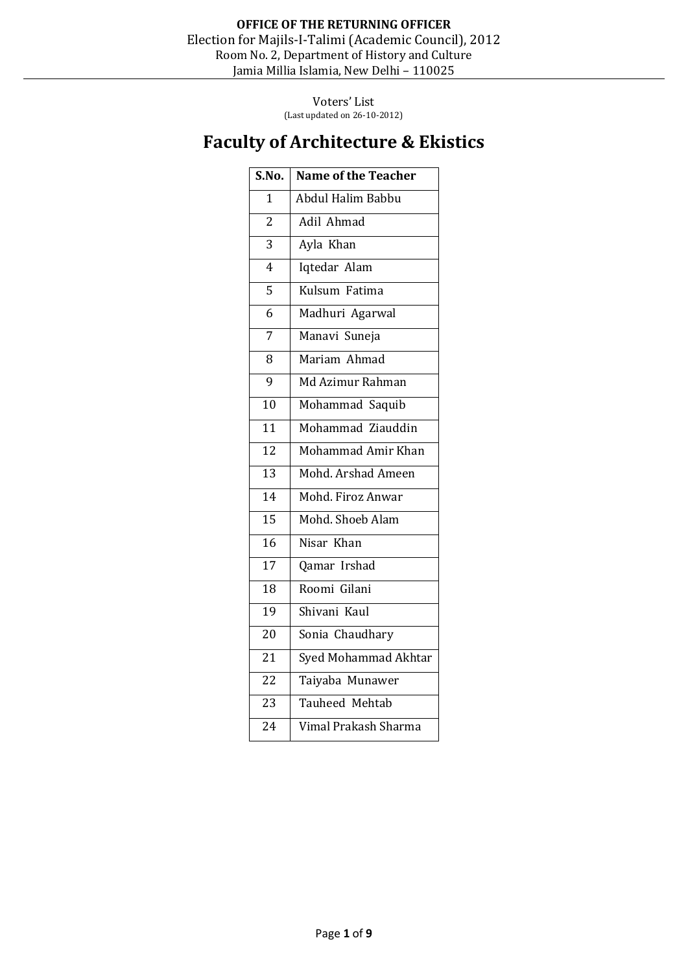### **Faculty of Architecture & Ekistics**

| <b>Name of the Teacher</b> |  |  |  |  |
|----------------------------|--|--|--|--|
| Abdul Halim Babbu          |  |  |  |  |
| Adil Ahmad                 |  |  |  |  |
| Ayla Khan                  |  |  |  |  |
| Iqtedar Alam               |  |  |  |  |
| Kulsum Fatima              |  |  |  |  |
| Madhuri Agarwal            |  |  |  |  |
| Manavi Suneja              |  |  |  |  |
| Mariam Ahmad               |  |  |  |  |
| Md Azimur Rahman           |  |  |  |  |
| Mohammad Saquib            |  |  |  |  |
| Mohammad Ziauddin          |  |  |  |  |
| Mohammad Amir Khan         |  |  |  |  |
| Mohd. Arshad Ameen         |  |  |  |  |
| Mohd. Firoz Anwar          |  |  |  |  |
| Mohd. Shoeb Alam           |  |  |  |  |
| Nisar Khan                 |  |  |  |  |
| Qamar Irshad               |  |  |  |  |
| Roomi Gilani               |  |  |  |  |
| Shivani Kaul               |  |  |  |  |
| Sonia Chaudhary            |  |  |  |  |
| Syed Mohammad Akhtar       |  |  |  |  |
| Taiyaba Munawer            |  |  |  |  |
| Tauheed Mehtab             |  |  |  |  |
| Vimal Prakash Sharma       |  |  |  |  |
|                            |  |  |  |  |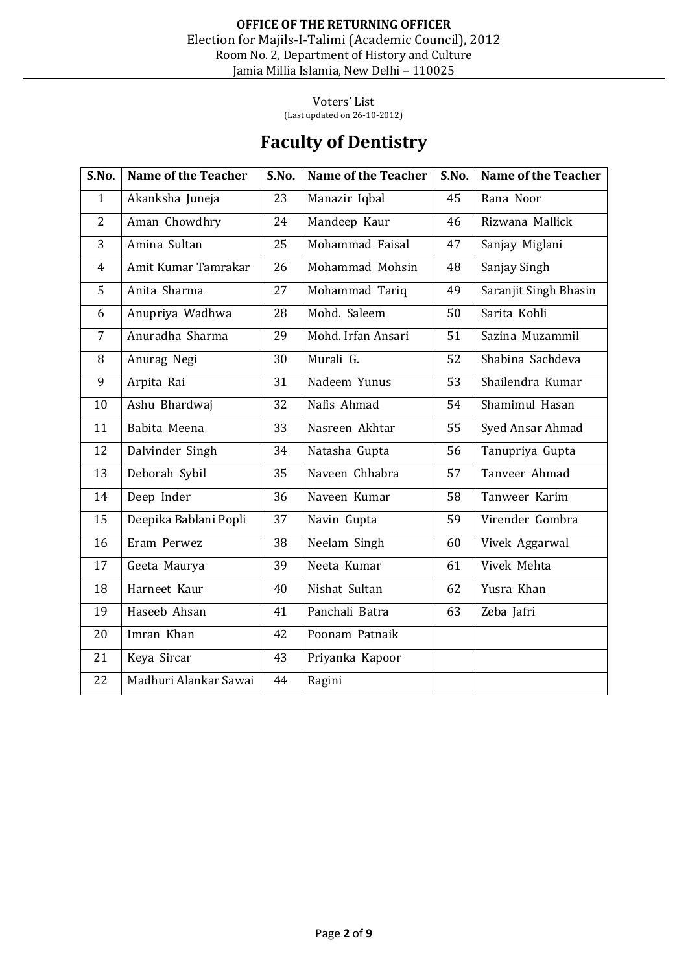### **Faculty of Dentistry**

| S.No.          | <b>Name of the Teacher</b> | S.No. | <b>Name of the Teacher</b> | S.No. | <b>Name of the Teacher</b> |
|----------------|----------------------------|-------|----------------------------|-------|----------------------------|
| $\mathbf{1}$   | Akanksha Juneja            | 23    | Manazir Iqbal              | 45    | Rana Noor                  |
| $\overline{2}$ | Aman Chowdhry              | 24    | Mandeep Kaur               | 46    | Rizwana Mallick            |
| 3              | Amina Sultan               | 25    | Mohammad Faisal            | 47    | Sanjay Miglani             |
| 4              | Amit Kumar Tamrakar        | 26    | Mohammad Mohsin            | 48    | Sanjay Singh               |
| 5              | Anita Sharma               | 27    | Mohammad Tariq             | 49    | Saranjit Singh Bhasin      |
| 6              | Anupriya Wadhwa            | 28    | Mohd. Saleem               | 50    | Sarita Kohli               |
| 7              | Anuradha Sharma            | 29    | Mohd. Irfan Ansari         | 51    | Sazina Muzammil            |
| 8              | Anurag Negi                | 30    | Murali G.                  | 52    | Shabina Sachdeva           |
| 9              | Arpita Rai                 | 31    | Nadeem Yunus               | 53    | Shailendra Kumar           |
| 10             | Ashu Bhardwaj              | 32    | Nafis Ahmad                | 54    | Shamimul Hasan             |
| 11             | Babita Meena               | 33    | Nasreen Akhtar             | 55    | Syed Ansar Ahmad           |
| 12             | Dalvinder Singh            | 34    | Natasha Gupta              | 56    | Tanupriya Gupta            |
| 13             | Deborah Sybil              | 35    | Naveen Chhabra             | 57    | Tanveer Ahmad              |
| 14             | Deep Inder                 | 36    | Naveen Kumar               | 58    | Tanweer Karim              |
| 15             | Deepika Bablani Popli      | 37    | Navin Gupta                | 59    | Virender Gombra            |
| 16             | Eram Perwez                | 38    | Neelam Singh               | 60    | Vivek Aggarwal             |
| 17             | Geeta Maurya               | 39    | Neeta Kumar                | 61    | Vivek Mehta                |
| 18             | Harneet Kaur               | 40    | Nishat Sultan              | 62    | Yusra Khan                 |
| 19             | Haseeb Ahsan               | 41    | Panchali Batra             | 63    | Zeba Jafri                 |
| 20             | Imran Khan                 | 42    | Poonam Patnaik             |       |                            |
| 21             | Keya Sircar                | 43    | Priyanka Kapoor            |       |                            |
| 22             | Madhuri Alankar Sawai      | 44    | Ragini                     |       |                            |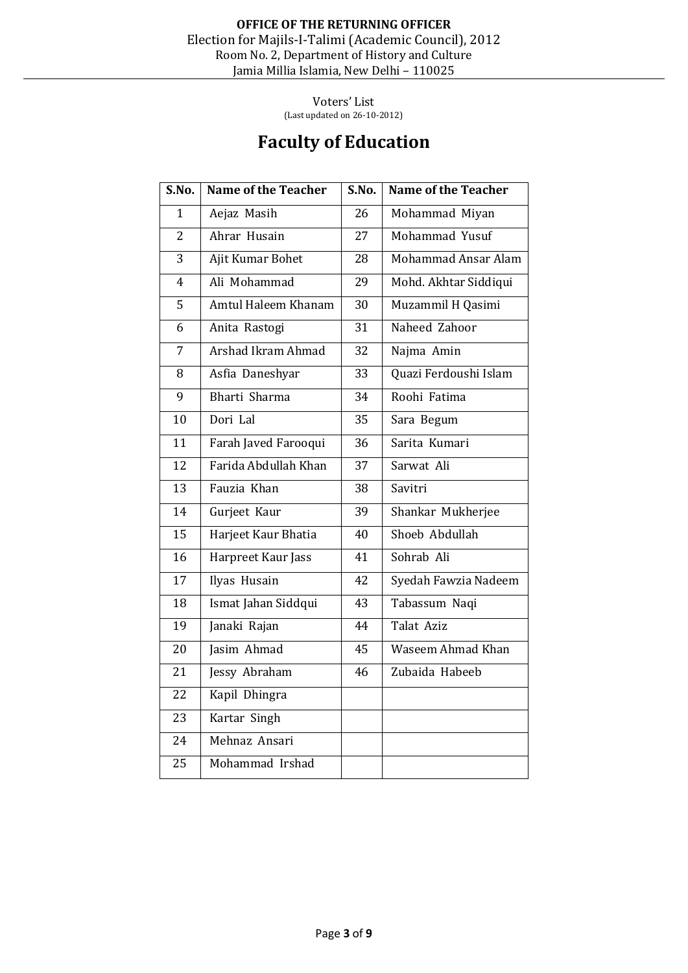## **Faculty of Education**

| S.No.          | <b>Name of the Teacher</b> | S.No. | <b>Name of the Teacher</b> |
|----------------|----------------------------|-------|----------------------------|
| 1              | Aejaz Masih                | 26    | Mohammad Miyan             |
| $\overline{2}$ | Ahrar Husain               | 27    | Mohammad Yusuf             |
| 3              | Ajit Kumar Bohet           | 28    | Mohammad Ansar Alam        |
| $\overline{4}$ | Ali Mohammad               | 29    | Mohd. Akhtar Siddiqui      |
| 5              | Amtul Haleem Khanam        | 30    | Muzammil H Qasimi          |
| 6              | Anita Rastogi              | 31    | Naheed Zahoor              |
| 7              | Arshad Ikram Ahmad         | 32    | Najma Amin                 |
| 8              | Asfia Daneshyar            | 33    | Quazi Ferdoushi Islam      |
| 9              | Bharti Sharma              | 34    | Roohi Fatima               |
| 10             | Dori Lal                   | 35    | Sara Begum                 |
| 11             | Farah Javed Farooqui       | 36    | Sarita Kumari              |
| 12             | Farida Abdullah Khan       | 37    | Sarwat Ali                 |
| 13             | Fauzia Khan                | 38    | Savitri                    |
| 14             | Gurjeet Kaur               | 39    | Shankar Mukherjee          |
| 15             | Harjeet Kaur Bhatia        | 40    | Shoeb Abdullah             |
| 16             | Harpreet Kaur Jass         | 41    | Sohrab Ali                 |
| 17             | Ilyas Husain               | 42    | Syedah Fawzia Nadeem       |
| 18             | Ismat Jahan Siddqui        | 43    | Tabassum Naqi              |
| 19             | Janaki Rajan               | 44    | Talat Aziz                 |
| 20             | Jasim Ahmad                | 45    | Waseem Ahmad Khan          |
| 21             | Jessy Abraham              | 46    | Zubaida Habeeb             |
| 22             | Kapil Dhingra              |       |                            |
| 23             | Kartar Singh               |       |                            |
| 24             | Mehnaz Ansari              |       |                            |
| 25             | Mohammad Irshad            |       |                            |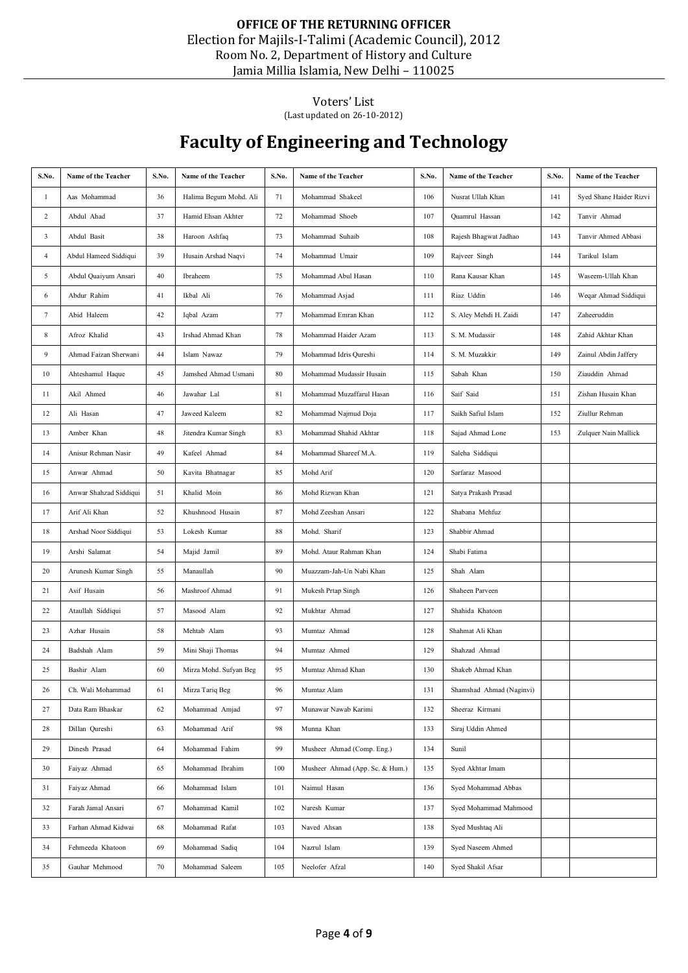## **Faculty of Engineering and Technology**

| S.No.                   | Name of the Teacher    | S.No. | Name of the Teacher    | S.No. | Name of the Teacher             | S.No. | Name of the Teacher      | S.No. | Name of the Teacher     |
|-------------------------|------------------------|-------|------------------------|-------|---------------------------------|-------|--------------------------|-------|-------------------------|
| 1                       | Aas Mohammad           | 36    | Halima Begum Mohd. Ali | 71    | Mohammad Shakeel                | 106   | Nusrat Ullah Khan        | 141   | Syed Shane Haider Rizvi |
| $\overline{c}$          | Abdul Ahad             | 37    | Hamid Ehsan Akhter     | 72    | Mohammad Shoeb                  | 107   | Quamrul Hassan           | 142   | Tanvir Ahmad            |
| $\overline{\mathbf{3}}$ | Abdul Basit            | 38    | Haroon Ashfaq          | 73    | Mohammad Suhaib                 | 108   | Rajesh Bhagwat Jadhao    | 143   | Tanvir Ahmed Abbasi     |
| $\overline{4}$          | Abdul Hameed Siddiqui  | 39    | Husain Arshad Naqvi    | 74    | Mohammad Umair                  | 109   | Rajveer Singh            | 144   | Tarikul Islam           |
| 5                       | Abdul Quaiyum Ansari   | 40    | Ibraheem               | 75    | Mohammad Abul Hasan             | 110   | Rana Kausar Khan         | 145   | Waseem-Ullah Khan       |
| 6                       | Abdur Rahim            | 41    | Ikbal Ali              | 76    | Mohammad Asjad                  | 111   | Riaz Uddin               | 146   | Weqar Ahmad Siddiqui    |
| 7                       | Abid Haleem            | 42    | Iqbal Azam             | 77    | Mohammad Emran Khan             | 112   | S. Aley Mehdi H. Zaidi   | 147   | Zaheeruddin             |
| 8                       | Afroz Khalid           | 43    | Irshad Ahmad Khan      | 78    | Mohammad Haider Azam            | 113   | S. M. Mudassir           | 148   | Zahid Akhtar Khan       |
| 9                       | Ahmad Faizan Sherwani  | 44    | Islam Nawaz            | 79    | Mohammad Idris Qureshi          | 114   | S. M. Muzakkir           | 149   | Zainul Abdin Jaffery    |
| 10                      | Ahteshamul Haque       | 45    | Jamshed Ahmad Usmani   | 80    | Mohammad Mudassir Husain        | 115   | Sabah Khan               | 150   | Ziauddin Ahmad          |
| 11                      | Akil Ahmed             | 46    | Jawahar Lal            | 81    | Mohammad Muzaffarul Hasan       | 116   | Saif Said                | 151   | Zishan Husain Khan      |
| 12                      | Ali Hasan              | 47    | Jaweed Kaleem          | 82    | Mohammad Najmud Doja            | 117   | Saikh Safiul Islam       | 152   | Ziullur Rehman          |
| 13                      | Amber Khan             | 48    | Jitendra Kumar Singh   | 83    | Mohammad Shahid Akhtar          | 118   | Sajad Ahmad Lone         | 153   | Zulquer Nain Mallick    |
| 14                      | Anisur Rehman Nasir    | 49    | Kafeel Ahmad           | 84    | Mohammad Shareef M.A.           | 119   | Saleha Siddiqui          |       |                         |
| 15                      | Anwar Ahmad            | 50    | Kavita Bhatnagar       | 85    | Mohd Arif                       | 120   | Sarfaraz Masood          |       |                         |
| 16                      | Anwar Shahzad Siddiqui | 51    | Khalid Moin            | 86    | Mohd Rizwan Khan                | 121   | Satya Prakash Prasad     |       |                         |
| 17                      | Arif Ali Khan          | 52    | Khushnood Husain       | 87    | Mohd Zeeshan Ansari             | 122   | Shabana Mehfuz           |       |                         |
| 18                      | Arshad Noor Siddiqui   | 53    | Lokesh Kumar           | 88    | Mohd. Sharif                    | 123   | Shabbir Ahmad            |       |                         |
| 19                      | Arshi Salamat          | 54    | Majid Jamil            | 89    | Mohd. Ataur Rahman Khan         | 124   | Shabi Fatima             |       |                         |
| 20                      | Arunesh Kumar Singh    | 55    | Manaullah              | 90    | Muazzam-Jah-Un Nabi Khan        | 125   | Shah Alam                |       |                         |
| 21                      | Asif Husain            | 56    | Mashroof Ahmad         | 91    | Mukesh Prtap Singh              | 126   | Shaheen Parveen          |       |                         |
| 22                      | Ataullah Siddiqui      | 57    | Masood Alam            | 92    | Mukhtar Ahmad                   | 127   | Shahida Khatoon          |       |                         |
| 23                      | Azhar Husain           | 58    | Mehtab Alam            | 93    | Mumtaz Ahmad                    | 128   | Shahmat Ali Khan         |       |                         |
| 24                      | Badshah Alam           | 59    | Mini Shaji Thomas      | 94    | Mumtaz Ahmed                    | 129   | Shahzad Ahmad            |       |                         |
| 25                      | Bashir Alam            | 60    | Mirza Mohd. Sufyan Beg | 95    | Mumtaz Ahmad Khan               | 130   | Shakeb Ahmad Khan        |       |                         |
| 26                      | Ch. Wali Mohammad      | 61    | Mirza Tariq Beg        | 96    | Mumtaz Alam                     | 131   | Shamshad Ahmad (Naginvi) |       |                         |
| 27                      | Data Ram Bhaskar       | 62    | Mohammad Amjad         | 97    | Munawar Nawab Karimi            | 132   | Sheeraz Kirmani          |       |                         |
| 28                      | Dillan Qureshi         | 63    | Mohammad Arif          | 98    | Munna Khan                      | 133   | Siraj Uddin Ahmed        |       |                         |
| 29                      | Dinesh Prasad          | 64    | Mohammad Fahim         | 99    | Musheer Ahmad (Comp. Eng.)      | 134   | Sunil                    |       |                         |
| 30                      | Faiyaz Ahmad           | 65    | Mohammad Ibrahim       | 100   | Musheer Ahmad (App. Sc. & Hum.) | 135   | Syed Akhtar Imam         |       |                         |
| 31                      | Faiyaz Ahmad           | 66    | Mohammad Islam         | 101   | Naimul Hasan                    | 136   | Syed Mohammad Abbas      |       |                         |
| 32                      | Farah Jamal Ansari     | 67    | Mohammad Kamil         | 102   | Naresh Kumar                    | 137   | Syed Mohammad Mahmood    |       |                         |
| 33                      | Farhan Ahmad Kidwai    | 68    | Mohammad Rafat         | 103   | Naved Ahsan                     | 138   | Syed Mushtaq Ali         |       |                         |
| 34                      | Fehmeeda Khatoon       | 69    | Mohammad Sadiq         | 104   | Nazrul Islam                    | 139   | Syed Naseem Ahmed        |       |                         |
| 35                      | Gauhar Mehmood         | 70    | Mohammad Saleem        | 105   | Neelofer Afzal                  | 140   | Syed Shakil Afsar        |       |                         |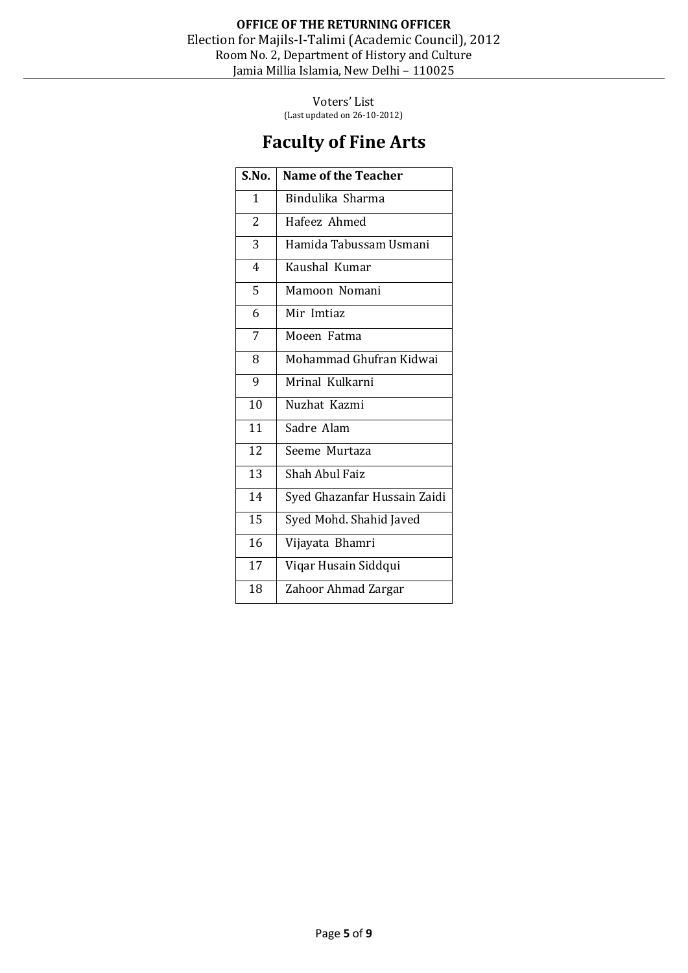### **OFFICE OF THE RETURNING OFFICER** Election for Majils-I-Talimi (Academic Council), 2012 Room No. 2, Department of History and Culture Jamia Millia Islamia, New Delhi – 110025

Voters' List (Last updated on 26-10-2012)

### **Faculty of Fine Arts**

| S.No.           | <b>Name of the Teacher</b>   |
|-----------------|------------------------------|
| $\mathbf{1}$    | Bindulika Sharma             |
| $\overline{2}$  | Hafeez Ahmed                 |
| 3               | Hamida Tabussam Usmani       |
| $\overline{4}$  | Kaushal Kumar                |
| $\overline{5}$  | Mamoon Nomani                |
| 6               | Mir Imtiaz                   |
| $\overline{7}$  | Moeen Fatma                  |
| 8               | Mohammad Ghufran Kidwai      |
| $\overline{9}$  | Mrinal Kulkarni              |
| 10              | Nuzhat Kazmi                 |
| 11              | Sadre Alam                   |
| 12              | Seeme Murtaza                |
| 13              | Shah Abul Faiz               |
| 14              | Syed Ghazanfar Hussain Zaidi |
| $\overline{15}$ | Syed Mohd. Shahid Javed      |
| 16              | Vijayata Bhamri              |
| 17              | Viqar Husain Siddqui         |
| 18              | Zahoor Ahmad Zargar          |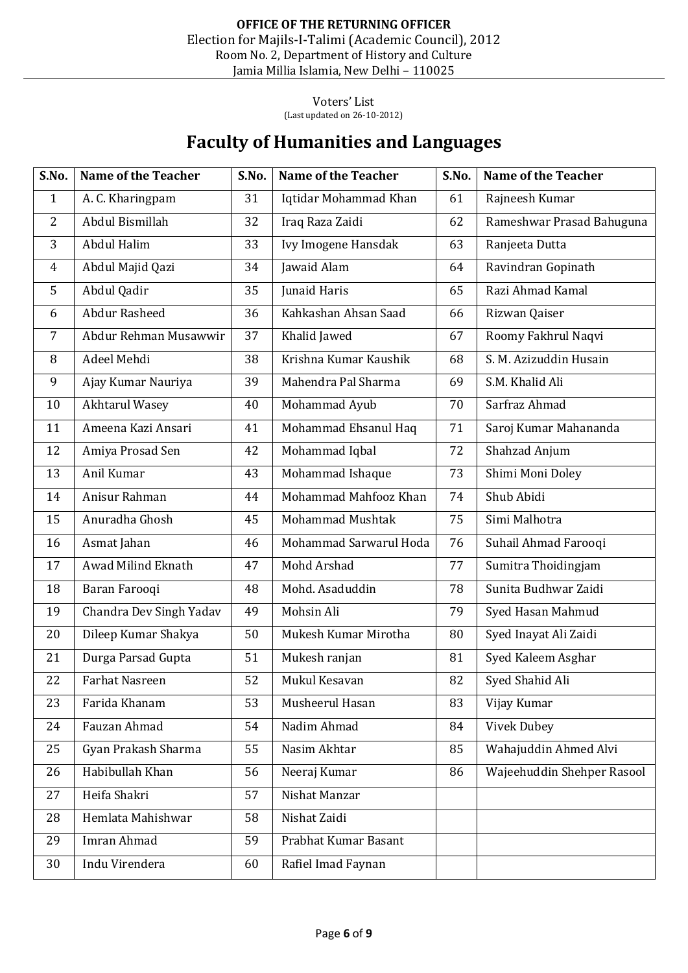### **Faculty of Humanities and Languages**

| S.No.          | <b>Name of the Teacher</b> | S.No. | <b>Name of the Teacher</b> | S.No. | <b>Name of the Teacher</b> |
|----------------|----------------------------|-------|----------------------------|-------|----------------------------|
| $\mathbf{1}$   | A. C. Kharingpam           | 31    | Iqtidar Mohammad Khan      | 61    | Rajneesh Kumar             |
| $\overline{2}$ | Abdul Bismillah            | 32    | Iraq Raza Zaidi            | 62    | Rameshwar Prasad Bahuguna  |
| 3              | <b>Abdul Halim</b>         | 33    | Ivy Imogene Hansdak        | 63    | Ranjeeta Dutta             |
| $\overline{4}$ | Abdul Majid Qazi           | 34    | Jawaid Alam                | 64    | Ravindran Gopinath         |
| 5              | Abdul Qadir                | 35    | Junaid Haris               | 65    | Razi Ahmad Kamal           |
| 6              | <b>Abdur Rasheed</b>       | 36    | Kahkashan Ahsan Saad       | 66    | Rizwan Qaiser              |
| $\overline{7}$ | Abdur Rehman Musawwir      | 37    | Khalid Jawed               | 67    | Roomy Fakhrul Naqvi        |
| 8              | Adeel Mehdi                | 38    | Krishna Kumar Kaushik      | 68    | S. M. Azizuddin Husain     |
| 9              | Ajay Kumar Nauriya         | 39    | Mahendra Pal Sharma        | 69    | S.M. Khalid Ali            |
| 10             | <b>Akhtarul Wasey</b>      | 40    | Mohammad Ayub              | 70    | Sarfraz Ahmad              |
| 11             | Ameena Kazi Ansari         | 41    | Mohammad Ehsanul Haq       | 71    | Saroj Kumar Mahananda      |
| 12             | Amiya Prosad Sen           | 42    | Mohammad Iqbal             | 72    | Shahzad Anjum              |
| 13             | Anil Kumar                 | 43    | Mohammad Ishaque           | 73    | Shimi Moni Doley           |
| 14             | Anisur Rahman              | 44    | Mohammad Mahfooz Khan      | 74    | Shub Abidi                 |
| 15             | Anuradha Ghosh             | 45    | Mohammad Mushtak           | 75    | Simi Malhotra              |
| 16             | Asmat Jahan                | 46    | Mohammad Sarwarul Hoda     | 76    | Suhail Ahmad Farooqi       |
| 17             | Awad Milind Eknath         | 47    | Mohd Arshad                | 77    | Sumitra Thoidingjam        |
| 18             | Baran Farooqi              | 48    | Mohd. Asaduddin            | 78    | Sunita Budhwar Zaidi       |
| 19             | Chandra Dev Singh Yadav    | 49    | Mohsin Ali                 | 79    | Syed Hasan Mahmud          |
| 20             | Dileep Kumar Shakya        | 50    | Mukesh Kumar Mirotha       | 80    | Syed Inayat Ali Zaidi      |
| 21             | Durga Parsad Gupta         | 51    | Mukesh ranjan              | 81    | Syed Kaleem Asghar         |
| 22             | <b>Farhat Nasreen</b>      | 52    | Mukul Kesavan              | 82    | Syed Shahid Ali            |
| 23             | Farida Khanam              | 53    | Musheerul Hasan            | 83    | Vijay Kumar                |
| 24             | Fauzan Ahmad               | 54    | Nadim Ahmad                | 84    | <b>Vivek Dubey</b>         |
| 25             | Gyan Prakash Sharma        | 55    | Nasim Akhtar               | 85    | Wahajuddin Ahmed Alvi      |
| 26             | Habibullah Khan            | 56    | Neeraj Kumar               | 86    | Wajeehuddin Shehper Rasool |
| 27             | Heifa Shakri               | 57    | Nishat Manzar              |       |                            |
| 28             | Hemlata Mahishwar          | 58    | Nishat Zaidi               |       |                            |
| 29             | Imran Ahmad                | 59    | Prabhat Kumar Basant       |       |                            |
| 30             | Indu Virendera             | 60    | Rafiel Imad Faynan         |       |                            |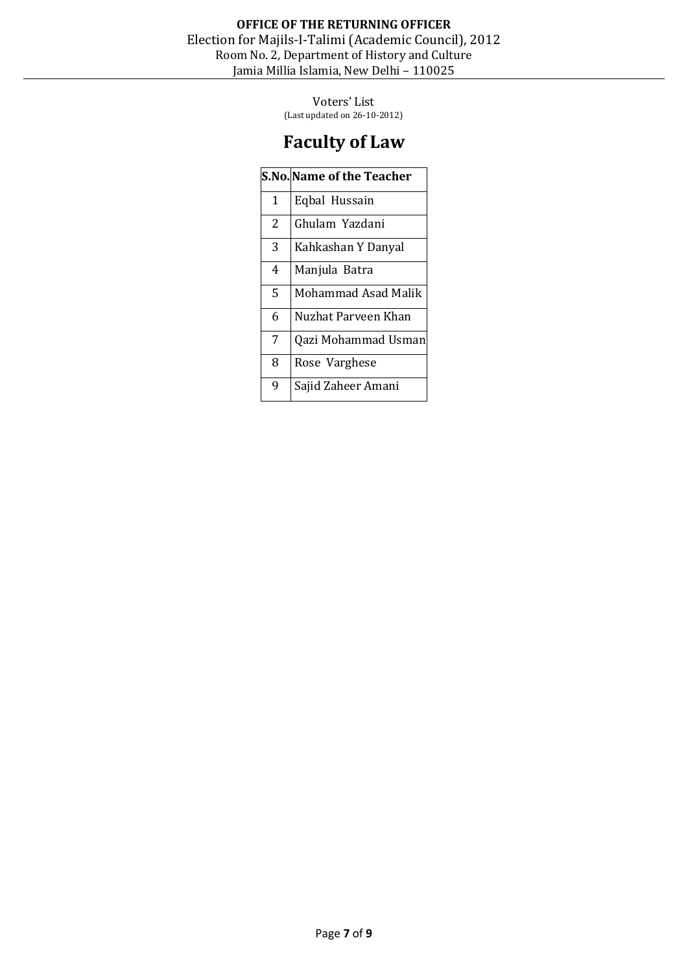### **OFFICE OF THE RETURNING OFFICER** Election for Majils-I-Talimi (Academic Council), 2012 Room No. 2, Department of History and Culture Jamia Millia Islamia, New Delhi – 110025

Voters' List (Last updated on 26-10-2012)

### **Faculty of Law**

|   | <b>S.No.</b> Name of the Teacher |
|---|----------------------------------|
| 1 | Eqbal Hussain                    |
| 2 | Ghulam Yazdani                   |
| 3 | Kahkashan Y Danyal               |
| 4 | Manjula Batra                    |
| 5 | Mohammad Asad Malik              |
| 6 | Nuzhat Parveen Khan              |
| 7 | Qazi Mohammad Usman              |
| 8 | Rose Varghese                    |
| 9 | Sajid Zaheer Amani               |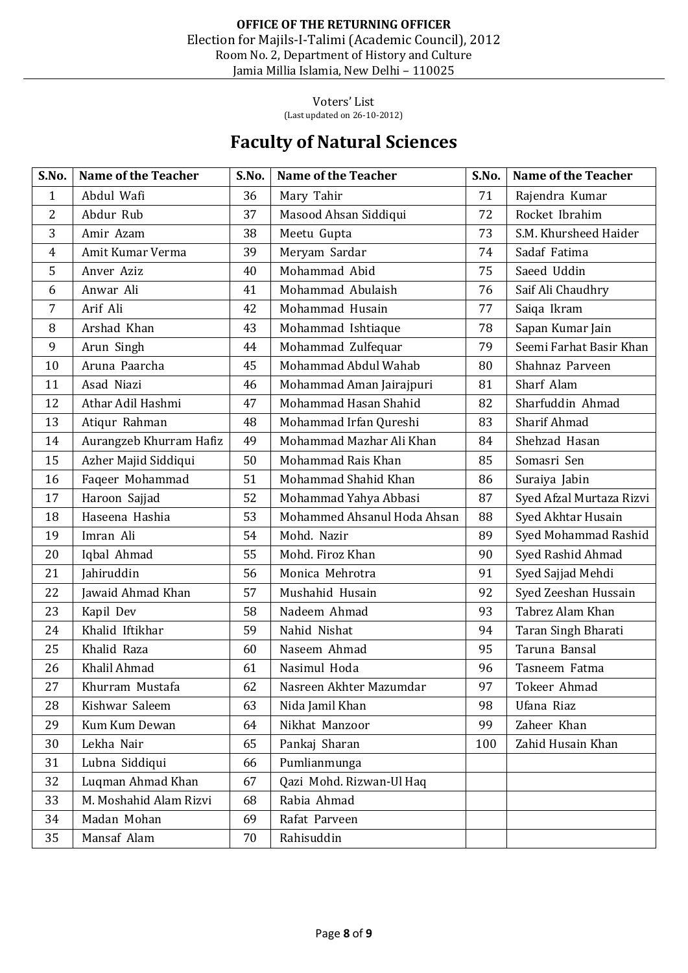# **Faculty of Natural Sciences**

| S.No.          | <b>Name of the Teacher</b> | S.No. | <b>Name of the Teacher</b>  | S.No. | <b>Name of the Teacher</b> |  |
|----------------|----------------------------|-------|-----------------------------|-------|----------------------------|--|
| $\mathbf{1}$   | Abdul Wafi                 | 36    | Mary Tahir                  | 71    | Rajendra Kumar             |  |
| $\overline{2}$ | Abdur Rub                  | 37    | Masood Ahsan Siddiqui       | 72    | Rocket Ibrahim             |  |
| 3              | Amir Azam                  | 38    | Meetu Gupta                 | 73    | S.M. Khursheed Haider      |  |
| $\overline{4}$ | Amit Kumar Verma           | 39    | Meryam Sardar               | 74    | Sadaf Fatima               |  |
| 5              | Anver Aziz                 | 40    | Mohammad Abid               | 75    | Saeed Uddin                |  |
| 6              | Anwar Ali                  | 41    | Mohammad Abulaish           | 76    | Saif Ali Chaudhry          |  |
| 7              | Arif Ali                   | 42    | Mohammad Husain             | 77    | Saiqa Ikram                |  |
| 8              | Arshad Khan                | 43    | Mohammad Ishtiaque          | 78    | Sapan Kumar Jain           |  |
| 9              | Arun Singh                 | 44    | Mohammad Zulfequar          | 79    | Seemi Farhat Basir Khan    |  |
| 10             | Aruna Paarcha              | 45    | Mohammad Abdul Wahab        | 80    | Shahnaz Parveen            |  |
| 11             | Asad Niazi                 | 46    | Mohammad Aman Jairajpuri    | 81    | Sharf Alam                 |  |
| 12             | Athar Adil Hashmi          | 47    | Mohammad Hasan Shahid       | 82    | Sharfuddin Ahmad           |  |
| 13             | Atiqur Rahman              | 48    | Mohammad Irfan Qureshi      | 83    | <b>Sharif Ahmad</b>        |  |
| 14             | Aurangzeb Khurram Hafiz    | 49    | Mohammad Mazhar Ali Khan    | 84    | Shehzad Hasan              |  |
| 15             | Azher Majid Siddiqui       | 50    | Mohammad Rais Khan          | 85    | Somasri Sen                |  |
| 16             | Faqeer Mohammad            | 51    | Mohammad Shahid Khan        | 86    | Suraiya Jabin              |  |
| 17             | Haroon Sajjad              | 52    | Mohammad Yahya Abbasi       | 87    | Syed Afzal Murtaza Rizvi   |  |
| 18             | Haseena Hashia             | 53    | Mohammed Ahsanul Hoda Ahsan | 88    | Syed Akhtar Husain         |  |
| 19             | Imran Ali                  | 54    | Mohd. Nazir                 | 89    | Syed Mohammad Rashid       |  |
| 20             | Iqbal Ahmad                | 55    | Mohd. Firoz Khan            | 90    | Syed Rashid Ahmad          |  |
| 21             | Jahiruddin                 | 56    | Monica Mehrotra             | 91    | Syed Sajjad Mehdi          |  |
| 22             | Jawaid Ahmad Khan          | 57    | Mushahid Husain             | 92    | Syed Zeeshan Hussain       |  |
| 23             | Kapil Dev                  | 58    | Nadeem Ahmad                | 93    | Tabrez Alam Khan           |  |
| 24             | Khalid Iftikhar            | 59    | Nahid Nishat                | 94    | Taran Singh Bharati        |  |
| 25             | Khalid Raza                | 60    | Naseem Ahmad                | 95    | Taruna Bansal              |  |
| 26             | Khalil Ahmad               | 61    | Nasimul Hoda                | 96    | Tasneem Fatma              |  |
| 27             | Khurram Mustafa            | 62    | Nasreen Akhter Mazumdar     | 97    | Tokeer Ahmad               |  |
| 28             | Kishwar Saleem             | 63    | Nida Jamil Khan             | 98    | Ufana Riaz                 |  |
| 29             | Kum Kum Dewan              | 64    | Nikhat Manzoor              | 99    | Zaheer Khan                |  |
| 30             | Lekha Nair                 | 65    | Pankaj Sharan               | 100   | Zahid Husain Khan          |  |
| 31             | Lubna Siddiqui             | 66    | Pumlianmunga                |       |                            |  |
| 32             | Luqman Ahmad Khan          | 67    | Qazi Mohd. Rizwan-Ul Haq    |       |                            |  |
| 33             | M. Moshahid Alam Rizvi     | 68    | Rabia Ahmad                 |       |                            |  |
| 34             | Madan Mohan                | 69    | Rafat Parveen               |       |                            |  |
| 35             | Mansaf Alam                | 70    | Rahisuddin                  |       |                            |  |